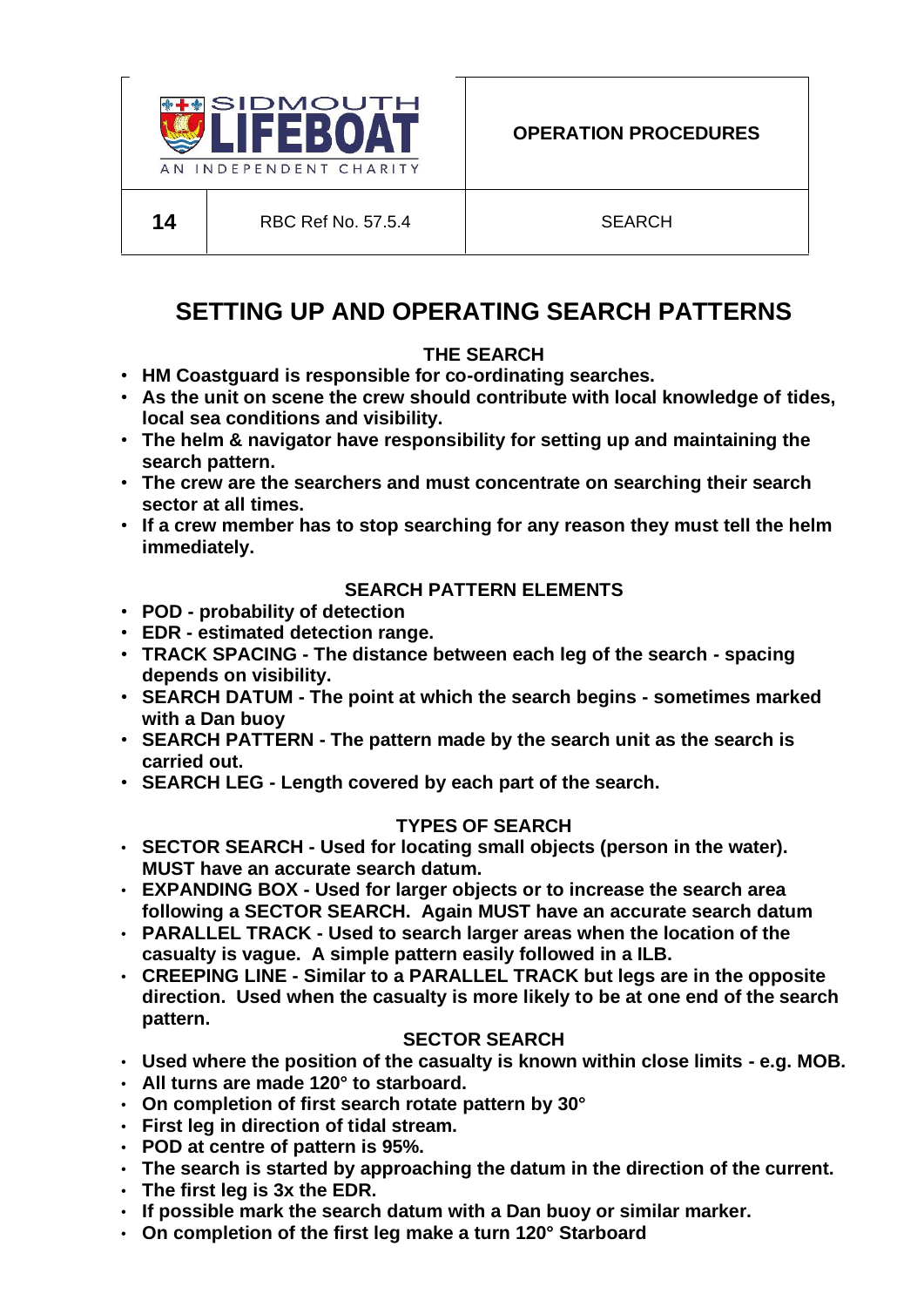

# **SETTING UP AND OPERATING SEARCH PATTERNS**

# **THE SEARCH**

- **HM Coastguard is responsible for co-ordinating searches.**
- **As the unit on scene the crew should contribute with local knowledge of tides, local sea conditions and visibility.**
- **The helm & navigator have responsibility for setting up and maintaining the search pattern.**
- **The crew are the searchers and must concentrate on searching their search sector at all times.**
- **If a crew member has to stop searching for any reason they must tell the helm immediately.**

## **SEARCH PATTERN ELEMENTS**

- **POD - probability of detection**
- **EDR - estimated detection range.**
- **TRACK SPACING - The distance between each leg of the search - spacing depends on visibility.**
- **SEARCH DATUM - The point at which the search begins - sometimes marked with a Dan buoy**
- **SEARCH PATTERN - The pattern made by the search unit as the search is carried out.**
- **SEARCH LEG - Length covered by each part of the search.**

## **TYPES OF SEARCH**

- **SECTOR SEARCH - Used for locating small objects (person in the water). MUST have an accurate search datum.**
- **EXPANDING BOX - Used for larger objects or to increase the search area following a SECTOR SEARCH. Again MUST have an accurate search datum**
- **PARALLEL TRACK - Used to search larger areas when the location of the casualty is vague. A simple pattern easily followed in a ILB.**
- **CREEPING LINE - Similar to a PARALLEL TRACK but legs are in the opposite direction. Used when the casualty is more likely to be at one end of the search pattern.**

## **SECTOR SEARCH**

- **Used where the position of the casualty is known within close limits - e.g. MOB.**
- **All turns are made 120° to starboard.**
- **On completion of first search rotate pattern by 30°**
- **First leg in direction of tidal stream.**
- **POD at centre of pattern is 95%.**
- **The search is started by approaching the datum in the direction of the current.**
- **The first leg is 3x the EDR.**
- **If possible mark the search datum with a Dan buoy or similar marker.**
- **On completion of the first leg make a turn 120° Starboard**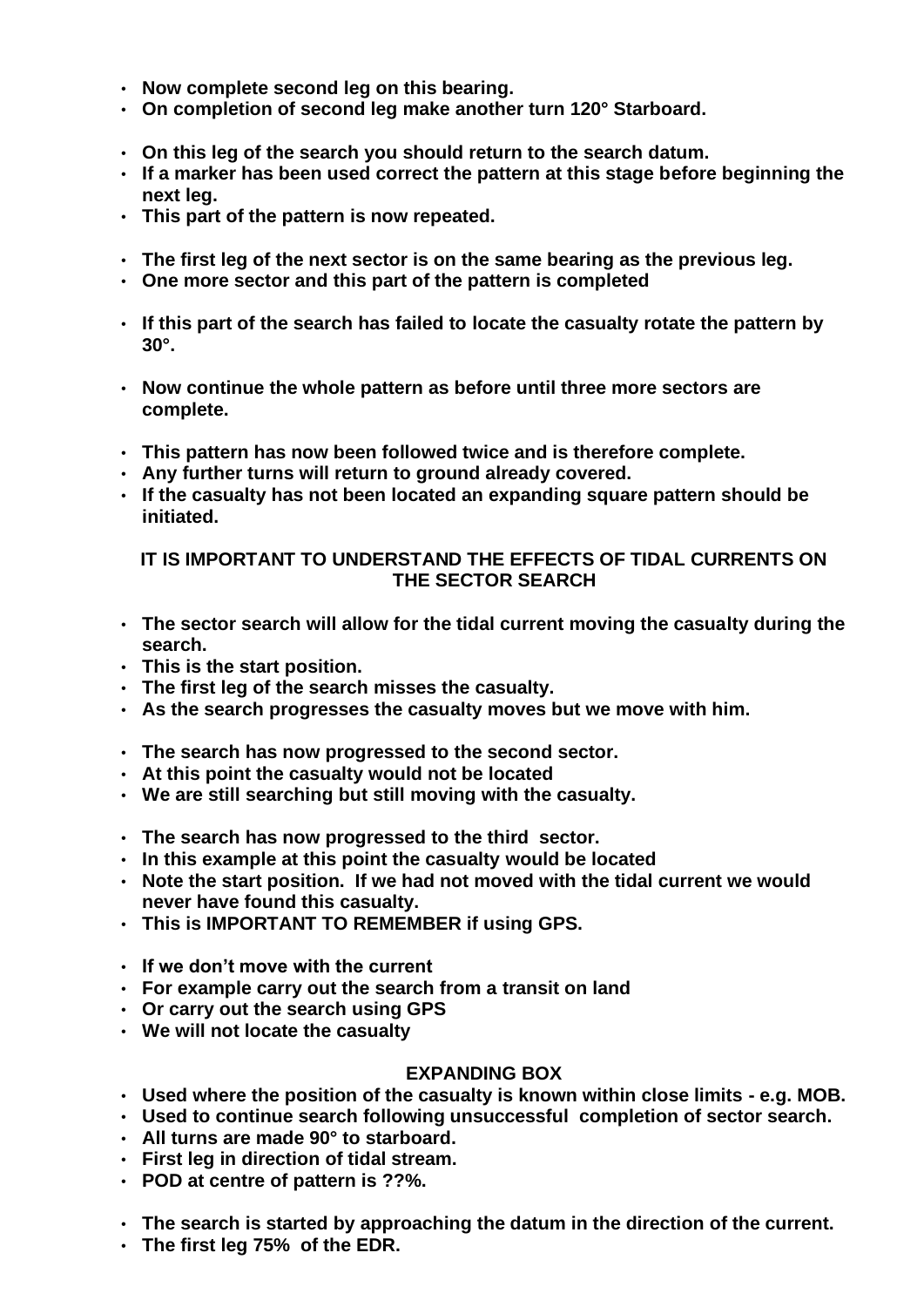- **Now complete second leg on this bearing.**
- **On completion of second leg make another turn 120° Starboard.**
- **On this leg of the search you should return to the search datum.**
- **If a marker has been used correct the pattern at this stage before beginning the next leg.**
- **This part of the pattern is now repeated.**
- **The first leg of the next sector is on the same bearing as the previous leg.**
- **One more sector and this part of the pattern is completed**
- **If this part of the search has failed to locate the casualty rotate the pattern by 30°.**
- **Now continue the whole pattern as before until three more sectors are complete.**
- **This pattern has now been followed twice and is therefore complete.**
- **Any further turns will return to ground already covered.**
- **If the casualty has not been located an expanding square pattern should be initiated.**

## **IT IS IMPORTANT TO UNDERSTAND THE EFFECTS OF TIDAL CURRENTS ON THE SECTOR SEARCH**

- **The sector search will allow for the tidal current moving the casualty during the search.**
- **This is the start position.**
- **The first leg of the search misses the casualty.**
- **As the search progresses the casualty moves but we move with him.**
- **The search has now progressed to the second sector.**
- **At this point the casualty would not be located**
- **We are still searching but still moving with the casualty.**
- **The search has now progressed to the third sector.**
- **In this example at this point the casualty would be located**
- **Note the start position. If we had not moved with the tidal current we would never have found this casualty.**
- **This is IMPORTANT TO REMEMBER if using GPS.**
- **If we don't move with the current**
- **For example carry out the search from a transit on land**
- **Or carry out the search using GPS**
- **We will not locate the casualty**

## **EXPANDING BOX**

- **Used where the position of the casualty is known within close limits - e.g. MOB.**
- **Used to continue search following unsuccessful completion of sector search.**
- **All turns are made 90° to starboard.**
- **First leg in direction of tidal stream.**
- **POD at centre of pattern is ??%.**
- **The search is started by approaching the datum in the direction of the current.**
- **The first leg 75% of the EDR.**